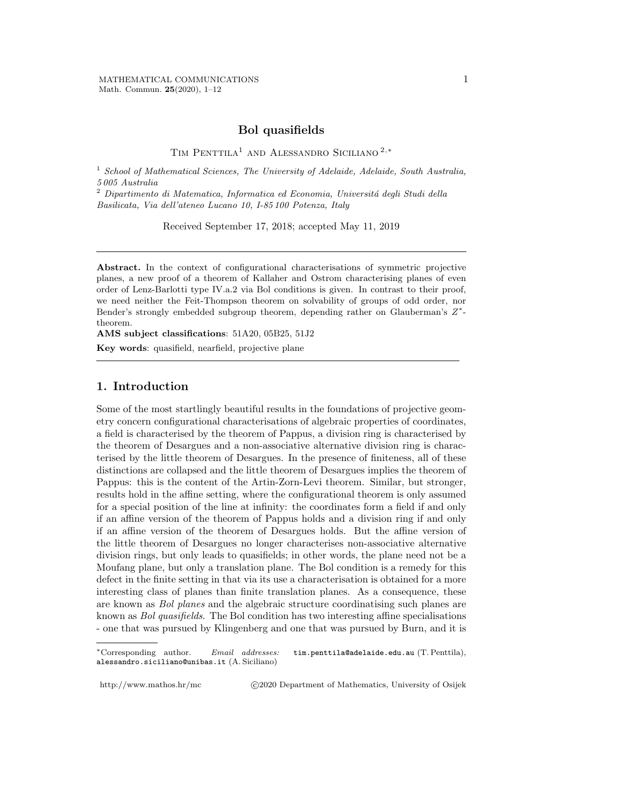## **Bol quasifields**

Tim Penttila<sup>1</sup> and Alessandro Siciliano <sup>2</sup>,*<sup>∗</sup>*

<sup>1</sup> *School of Mathematical Sciences, The University of Adelaide, Adelaide, South Australia, 5 005 Australia*

<sup>2</sup> Dipartimento di Matematica, Informatica ed Economia, Universitá degli Studi della *Basilicata, Via dell'ateneo Lucano 10, I-85 100 Potenza, Italy*

Received September 17, 2018; accepted May 11, 2019

**Abstract.** In the context of configurational characterisations of symmetric projective planes, a new proof of a theorem of Kallaher and Ostrom characterising planes of even order of Lenz-Barlotti type IV.a.2 via Bol conditions is given. In contrast to their proof, we need neither the Feit-Thompson theorem on solvability of groups of odd order, nor Bender's strongly embedded subgroup theorem, depending rather on Glauberman's *Z ∗* theorem.

**AMS subject classifications**: 51A20, 05B25, 51J2

**Key words**: quasifield, nearfield, projective plane

## **1. Introduction**

Some of the most startlingly beautiful results in the foundations of projective geometry concern configurational characterisations of algebraic properties of coordinates, a field is characterised by the theorem of Pappus, a division ring is characterised by the theorem of Desargues and a non-associative alternative division ring is characterised by the little theorem of Desargues. In the presence of finiteness, all of these distinctions are collapsed and the little theorem of Desargues implies the theorem of Pappus: this is the content of the Artin-Zorn-Levi theorem. Similar, but stronger, results hold in the affine setting, where the configurational theorem is only assumed for a special position of the line at infinity: the coordinates form a field if and only if an affine version of the theorem of Pappus holds and a division ring if and only if an affine version of the theorem of Desargues holds. But the affine version of the little theorem of Desargues no longer characterises non-associative alternative division rings, but only leads to quasifields; in other words, the plane need not be a Moufang plane, but only a translation plane. The Bol condition is a remedy for this defect in the finite setting in that via its use a characterisation is obtained for a more interesting class of planes than finite translation planes. As a consequence, these are known as *Bol planes* and the algebraic structure coordinatising such planes are known as *Bol quasifields*. The Bol condition has two interesting affine specialisations - one that was pursued by Klingenberg and one that was pursued by Burn, and it is

http://www.mathos.hr/mc  $\textcircled{2020}$  *Department of Mathematics*, University of Osijek

*<sup>∗</sup>*Corresponding author. *Email addresses:* tim.penttila@adelaide.edu.au (T. Penttila), alessandro.siciliano@unibas.it (A. Siciliano)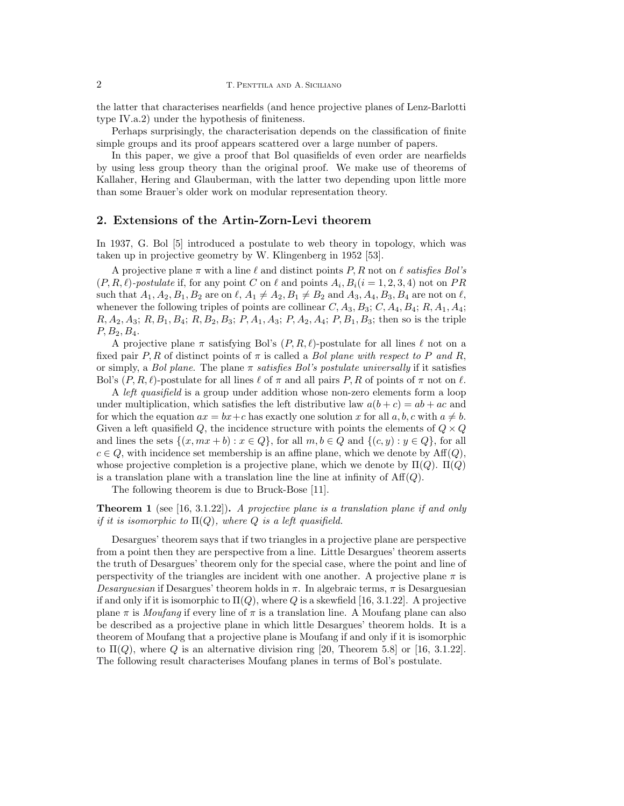the latter that characterises nearfields (and hence projective planes of Lenz-Barlotti type IV.a.2) under the hypothesis of finiteness.

Perhaps surprisingly, the characterisation depends on the classification of finite simple groups and its proof appears scattered over a large number of papers.

In this paper, we give a proof that Bol quasifields of even order are nearfields by using less group theory than the original proof. We make use of theorems of Kallaher, Hering and Glauberman, with the latter two depending upon little more than some Brauer's older work on modular representation theory.

## **2. Extensions of the Artin-Zorn-Levi theorem**

In 1937, G. Bol [5] introduced a postulate to web theory in topology, which was taken up in projective geometry by W. Klingenberg in 1952 [53].

A projective plane *π* with a line *ℓ* and distinct points *P, R* not on *ℓ satisfies Bol's*  $(P, R, \ell)$ -postulate if, for any point *C* on  $\ell$  and points  $A_i, B_i$  ( $i = 1, 2, 3, 4$ ) not on  $PR$ such that  $A_1, A_2, B_1, B_2$  are on  $\ell, A_1 \neq A_2, B_1 \neq B_2$  and  $A_3, A_4, B_3, B_4$  are not on  $\ell$ , whenever the following triples of points are collinear  $C, A_3, B_3; C, A_4, B_4; R, A_1, A_4;$ *R, A*2*, A*3; *R, B*1*, B*4; *R, B*2*, B*3; *P, A*1*, A*3; *P, A*2*, A*4; *P, B*1*, B*3; then so is the triple *P, B*2*, B*4.

A projective plane  $\pi$  satisfying Bol's  $(P, R, \ell)$ -postulate for all lines  $\ell$  not on a fixed pair *P, R* of distinct points of  $\pi$  is called a *Bol plane with respect to P* and *R*, or simply, a *Bol plane*. The plane *π satisfies Bol's postulate universally* if it satisfies Bol's  $(P, R, \ell)$ -postulate for all lines  $\ell$  of  $\pi$  and all pairs  $P, R$  of points of  $\pi$  not on  $\ell$ .

A *left quasifield* is a group under addition whose non-zero elements form a loop under multiplication, which satisfies the left distributive law  $a(b + c) = ab + ac$  and for which the equation  $ax = bx + c$  has exactly one solution x for all  $a, b, c$  with  $a \neq b$ . Given a left quasifield  $Q$ , the incidence structure with points the elements of  $Q \times Q$ and lines the sets  $\{(x, mx + b) : x \in Q\}$ , for all  $m, b \in Q$  and  $\{(c, y) : y \in Q\}$ , for all  $c \in Q$ , with incidence set membership is an affine plane, which we denote by  $\text{Aff}(Q)$ , whose projective completion is a projective plane, which we denote by Π(*Q*). Π(*Q*) is a translation plane with a translation line the line at infinity of  $\text{Aff}(Q)$ .

The following theorem is due to Bruck-Bose [11].

**Theorem 1** (see [16, 3.1.22])**.** *A projective plane is a translation plane if and only if it is isomorphic to*  $\Pi(Q)$ *, where*  $Q$  *is a left quasifield.* 

Desargues' theorem says that if two triangles in a projective plane are perspective from a point then they are perspective from a line. Little Desargues' theorem asserts the truth of Desargues' theorem only for the special case, where the point and line of perspectivity of the triangles are incident with one another. A projective plane  $\pi$  is *Desarguesian* if Desargues' theorem holds in *π*. In algebraic terms, *π* is Desarguesian if and only if it is isomorphic to  $\Pi(Q)$ , where Q is a skewfield [16, 3.1.22]. A projective plane  $\pi$  is *Moufang* if every line of  $\pi$  is a translation line. A Moufang plane can also be described as a projective plane in which little Desargues' theorem holds. It is a theorem of Moufang that a projective plane is Moufang if and only if it is isomorphic to  $\Pi(Q)$ , where Q is an alternative division ring [20, Theorem 5.8] or [16, 3.1.22]. The following result characterises Moufang planes in terms of Bol's postulate.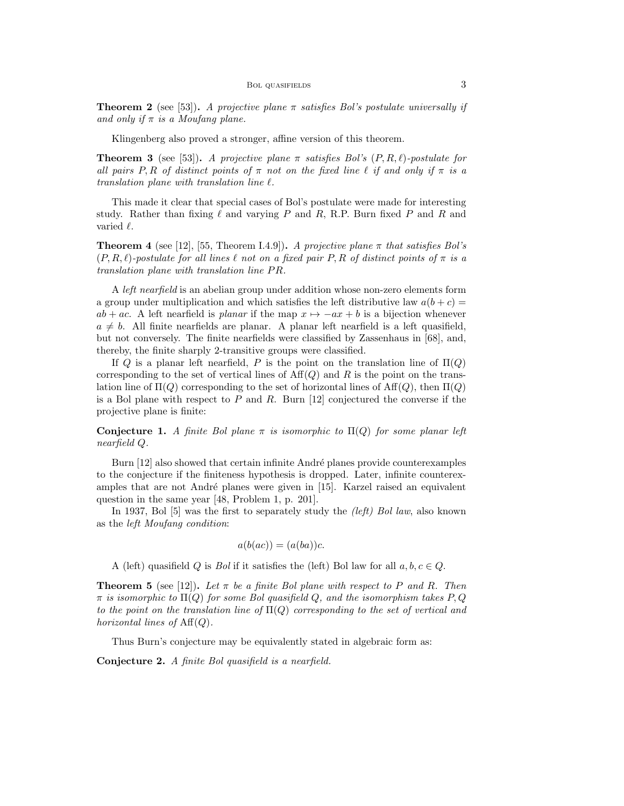**Theorem 2** (see [53]). *A projective plane*  $\pi$  *satisfies Bol's postulate universally if and only if π is a Moufang plane.*

Klingenberg also proved a stronger, affine version of this theorem.

**Theorem 3** (see [53]). *A projective plane*  $\pi$  *satisfies Bol's*  $(P, R, \ell)$ *-postulate for all pairs*  $P, R$  *of distinct points of*  $\pi$  *not on the fixed line*  $\ell$  *if and only if*  $\pi$  *is a translation plane with translation line ℓ.*

This made it clear that special cases of Bol's postulate were made for interesting study. Rather than fixing  $\ell$  and varying  $P$  and  $R$ , R.P. Burn fixed  $P$  and  $R$  and varied *ℓ*.

**Theorem 4** (see [12], [55, Theorem I.4.9]). *A projective plane*  $\pi$  *that satisfies Bol's*  $(P, R, \ell)$ -postulate for all lines  $\ell$  not on a fixed pair  $P, R$  of distinct points of  $\pi$  is a *translation plane with translation line P R.*

A *left nearfield* is an abelian group under addition whose non-zero elements form a group under multiplication and which satisfies the left distributive law  $a(b + c)$  $ab + ac$ . A left nearfield is *planar* if the map  $x \mapsto -ax + b$  is a bijection whenever  $a \neq b$ . All finite nearfields are planar. A planar left nearfield is a left quasifield, but not conversely. The finite nearfields were classified by Zassenhaus in [68], and, thereby, the finite sharply 2-transitive groups were classified.

If *Q* is a planar left nearfield, *P* is the point on the translation line of  $\Pi(Q)$ corresponding to the set of vertical lines of  $Aff(Q)$  and  $R$  is the point on the translation line of  $\Pi(Q)$  corresponding to the set of horizontal lines of  $\text{Aff}(Q)$ , then  $\Pi(Q)$ is a Bol plane with respect to *P* and *R*. Burn [12] conjectured the converse if the projective plane is finite:

**Conjecture 1.** *A finite Bol plane*  $\pi$  *is isomorphic to*  $\Pi(Q)$  *for some planar left nearfield Q.*

Burn [12] also showed that certain infinite André planes provide counterexamples to the conjecture if the finiteness hypothesis is dropped. Later, infinite counterexamples that are not André planes were given in [15]. Karzel raised an equivalent question in the same year [48, Problem 1, p. 201].

In 1937, Bol [5] was the first to separately study the *(left) Bol law*, also known as the *left Moufang condition*:

$$
a(b(ac)) = (a(ba))c.
$$

A (left) quasifield *Q* is *Bol* if it satisfies the (left) Bol law for all  $a, b, c \in Q$ .

**Theorem 5** (see [12]). Let  $\pi$  be a finite Bol plane with respect to P and R. Then *π is isomorphic to* Π(*Q*) *for some Bol quasifield Q, and the isomorphism takes P, Q to the point on the translation line of* Π(*Q*) *corresponding to the set of vertical and horizontal lines of*  $Aff(Q)$ *.* 

Thus Burn's conjecture may be equivalently stated in algebraic form as:

**Conjecture 2.** *A finite Bol quasifield is a nearfield.*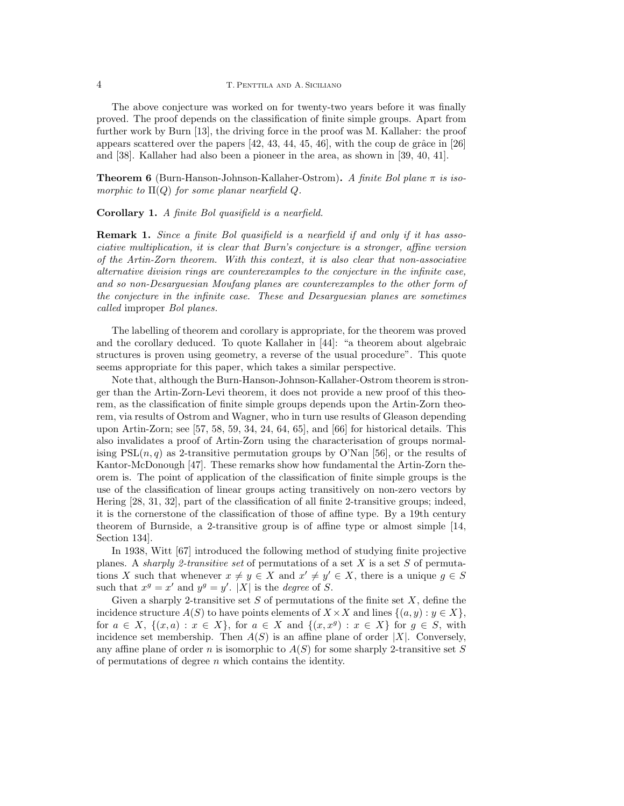#### 4 T. Penttila and A. Siciliano

The above conjecture was worked on for twenty-two years before it was finally proved. The proof depends on the classification of finite simple groups. Apart from further work by Burn [13], the driving force in the proof was M. Kallaher: the proof appears scattered over the papers  $[42, 43, 44, 45, 46]$ , with the coup de grâce in  $[26]$ and [38]. Kallaher had also been a pioneer in the area, as shown in [39, 40, 41].

**Theorem 6** (Burn-Hanson-Johnson-Kallaher-Ostrom)**.** *A finite Bol plane π is isomorphic to*  $\Pi(Q)$  *for some planar nearfield*  $Q$ *.* 

#### **Corollary 1.** *A finite Bol quasifield is a nearfield.*

**Remark 1.** *Since a finite Bol quasifield is a nearfield if and only if it has associative multiplication, it is clear that Burn's conjecture is a stronger, affine version of the Artin-Zorn theorem. With this context, it is also clear that non-associative alternative division rings are counterexamples to the conjecture in the infinite case, and so non-Desarguesian Moufang planes are counterexamples to the other form of the conjecture in the infinite case. These and Desarguesian planes are sometimes called* improper *Bol planes.*

The labelling of theorem and corollary is appropriate, for the theorem was proved and the corollary deduced. To quote Kallaher in [44]: "a theorem about algebraic structures is proven using geometry, a reverse of the usual procedure". This quote seems appropriate for this paper, which takes a similar perspective.

Note that, although the Burn-Hanson-Johnson-Kallaher-Ostrom theorem is stronger than the Artin-Zorn-Levi theorem, it does not provide a new proof of this theorem, as the classification of finite simple groups depends upon the Artin-Zorn theorem, via results of Ostrom and Wagner, who in turn use results of Gleason depending upon Artin-Zorn; see [57, 58, 59, 34, 24, 64, 65], and [66] for historical details. This also invalidates a proof of Artin-Zorn using the characterisation of groups normalising  $PSL(n, q)$  as 2-transitive permutation groups by O'Nan [56], or the results of Kantor-McDonough [47]. These remarks show how fundamental the Artin-Zorn theorem is. The point of application of the classification of finite simple groups is the use of the classification of linear groups acting transitively on non-zero vectors by Hering [28, 31, 32], part of the classification of all finite 2-transitive groups; indeed, it is the cornerstone of the classification of those of affine type. By a 19th century theorem of Burnside, a 2-transitive group is of affine type or almost simple [14, Section 134].

In 1938, Witt [67] introduced the following method of studying finite projective planes. A *sharply 2-transitive set* of permutations of a set *X* is a set *S* of permutations *X* such that whenever  $x \neq y \in X$  and  $x' \neq y' \in X$ , there is a unique  $g \in S$ such that  $x^g = x'$  and  $y^g = y'$ . |X| is the *degree* of *S*.

Given a sharply 2-transitive set *S* of permutations of the finite set *X*, define the incidence structure  $A(S)$  to have points elements of  $X \times X$  and lines  $\{(a, y) : y \in X\}$ , for  $a \in X$ ,  $\{(x,a): x \in X\}$ , for  $a \in X$  and  $\{(x,x^g): x \in X\}$  for  $g \in S$ , with incidence set membership. Then  $A(S)$  is an affine plane of order  $|X|$ . Conversely, any affine plane of order *n* is isomorphic to *A*(*S*) for some sharply 2-transitive set *S* of permutations of degree *n* which contains the identity.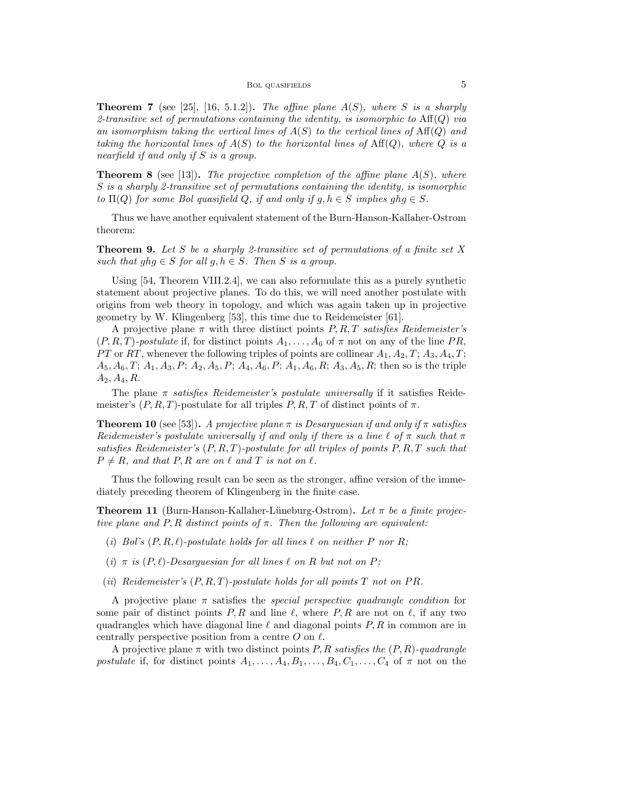**Theorem 7** (see [25], [16, 5.1.2]). The affine plane  $A(S)$ , where S is a sharply *2-transitive set of permutations containing the identity, is isomorphic to* Aff(*Q*) *via an isomorphism taking the vertical lines of A*(*S*) *to the vertical lines of* Aff(*Q*) *and taking the horizontal lines of*  $A(S)$  *to the horizontal lines of*  $Aff(Q)$ *, where*  $Q$  *is a nearfield if and only if S is a group.*

**Theorem 8** (see [13])**.** *The projective completion of the affine plane A*(*S*)*, where S is a sharply 2-transitive set of permutations containing the identity, is isomorphic to*  $\Pi(Q)$  *for some Bol quasifield Q, if and only if*  $g, h \in S$  *implies*  $ghg \in S$ *.* 

Thus we have another equivalent statement of the Burn-Hanson-Kallaher-Ostrom theorem:

**Theorem 9.** *Let S be a sharply 2-transitive set of permutations of a finite set X such that*  $ghg \in S$  *for all*  $g, h \in S$ *. Then S is a group.* 

Using [54, Theorem VIII.2.4], we can also reformulate this as a purely synthetic statement about projective planes. To do this, we will need another postulate with origins from web theory in topology, and which was again taken up in projective geometry by W. Klingenberg [53], this time due to Reidemeister [61].

A projective plane *π* with three distinct points *P, R, T satisfies Reidemeister's*  $(P, R, T)$ -*postulate* if, for distinct points  $A_1, \ldots, A_6$  of  $\pi$  not on any of the line *PR*, *PT* or *RT*, whenever the following triples of points are collinear  $A_1, A_2, T$ ;  $A_3, A_4, T$ ; *A*5*, A*6*, T*; *A*1*, A*3*, P*; *A*2*, A*5*, P*; *A*4*, A*6*, P*; *A*1*, A*6*, R*; *A*3*, A*5*, R*; then so is the triple *A*2*, A*4*, R*.

The plane *π satisfies Reidemeister's postulate universally* if it satisfies Reidemeister's  $(P, R, T)$ -postulate for all triples  $P, R, T$  of distinct points of  $\pi$ .

**Theorem 10** (see [53]). *A projective plane*  $\pi$  *is Desarguesian if and only if*  $\pi$  *satisfies Reidemeister's postulate universally if and only if there is a line*  $\ell$  *of*  $\pi$  *such that*  $\pi$ *satisfies Reidemeister's* (*P, R, T*)*-postulate for all triples of points P, R, T such that*  $P \neq R$ *, and that*  $P, R$  *are on*  $\ell$  *and*  $T$  *is not on*  $\ell$ *.* 

Thus the following result can be seen as the stronger, affine version of the immediately preceding theorem of Klingenberg in the finite case.

**Theorem 11** (Burn-Hanson-Kallaher-Lüneburg-Ostrom). Let  $\pi$  be a finite projec*tive plane and*  $P$ ,  $R$  *distinct points of*  $\pi$ *. Then the following are equivalent:* 

- (*i*) *Bol's*  $(P, R, \ell)$ *-postulate holds for all lines*  $\ell$  *on neither*  $P$  *nor*  $R$ *;*
- (*i*)  $\pi$  *is* ( $P, \ell$ )*-Desarguesian for all lines*  $\ell$  *on*  $R$  *but not on*  $P$ *;*
- (*ii*) *Reidemeister's*  $(P, R, T)$ *-postulate holds for all points*  $T$  *not on*  $PR$ *.*

A projective plane *π* satisfies the *special perspective quadrangle condition* for some pair of distinct points  $P, R$  and line  $\ell$ , where  $P, R$  are not on  $\ell$ , if any two quadrangles which have diagonal line *ℓ* and diagonal points *P, R* in common are in centrally perspective position from a centre *O* on *ℓ*.

A projective plane *π* with two distinct points *P, R satisfies the* (*P, R*)*-quadrangle postulate* if, for distinct points  $A_1, \ldots, A_4, B_1, \ldots, B_4, C_1, \ldots, C_4$  of  $\pi$  not on the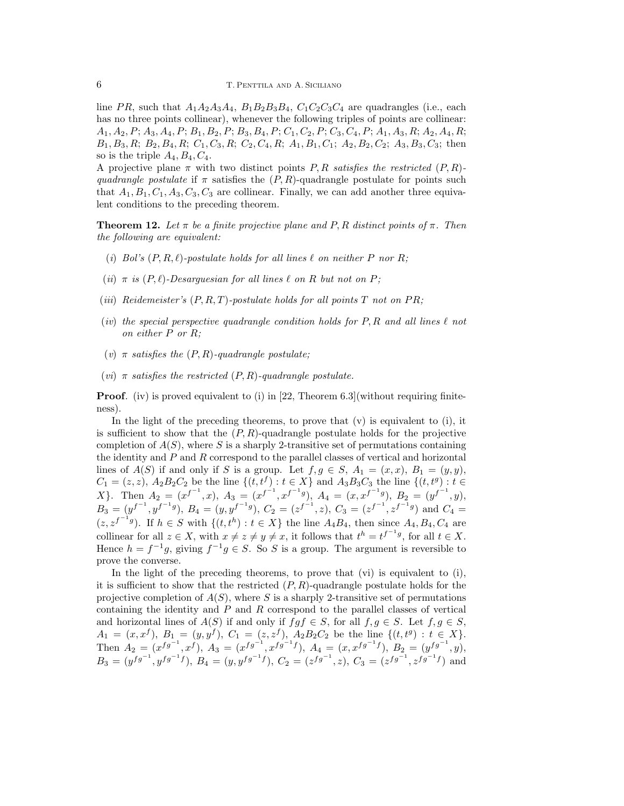line *PR*, such that  $A_1A_2A_3A_4$ ,  $B_1B_2B_3B_4$ ,  $C_1C_2C_3C_4$  are quadrangles (i.e., each has no three points collinear), whenever the following triples of points are collinear:  $A_1, A_2, P; A_3, A_4, P; B_1, B_2, P; B_3, B_4, P; C_1, C_2, P; C_3, C_4, P; A_1, A_3, R; A_2, A_4, R;$  $B_1, B_3, R; B_2, B_4, R; C_1, C_3, R; C_2, C_4, R; A_1, B_1, C_1; A_2, B_2, C_2; A_3, B_3, C_3;$  then so is the triple  $A_4, B_4, C_4$ .

A projective plane *π* with two distinct points *P, R satisfies the restricted* (*P, R*) *quadrangle postulate* if  $\pi$  satisfies the  $(P, R)$ -quadrangle postulate for points such that  $A_1, B_1, C_1, A_3, C_3, C_3$  are collinear. Finally, we can add another three equivalent conditions to the preceding theorem.

**Theorem 12.** Let  $\pi$  be a finite projective plane and P, R distinct points of  $\pi$ . Then *the following are equivalent:*

- (*i*) *Bol's*  $(P, R, \ell)$ *-postulate holds for all lines*  $\ell$  *on neither*  $P$  *nor*  $R$ *;*
- (*ii*)  $\pi$  *is* ( $P, \ell$ )*-Desarguesian for all lines*  $\ell$  *on*  $R$  *but not on*  $P$ *;*
- (*iii*) *Reidemeister's*  $(P, R, T)$ *-postulate holds for all points*  $T$  *not on*  $PR$ ;
- (*iv*) *the special perspective quadrangle condition holds for P, R and all lines ℓ not on either P or R;*
- (*v*)  $\pi$  *satisfies the*  $(P, R)$ *-quadrangle postulate;*
- $(vi)$  *π satisfies the restricted*  $(P, R)$ *-quadrangle postulate.*

**Proof***.* (iv) is proved equivalent to (i) in [22, Theorem 6.3](without requiring finiteness).

In the light of the preceding theorems, to prove that  $(v)$  is equivalent to  $(i)$ , it is sufficient to show that the  $(P, R)$ -quadrangle postulate holds for the projective completion of  $A(S)$ , where S is a sharply 2-transitive set of permutations containing the identity and *P* and *R* correspond to the parallel classes of vertical and horizontal lines of  $A(S)$  if and only if *S* is a group. Let  $f, g \in S$ ,  $A_1 = (x, x)$ ,  $B_1 = (y, y)$ ,  $C_1 = (z, z), A_2B_2C_2$  be the line  $\{(t, t^f) : t \in X\}$  and  $A_3B_3C_3$  the line  $\{(t, t^g) : t \in X\}$ X}. Then  $A_2 = (x^{f^{-1}}, x)$ ,  $A_3 = (x^{f^{-1}}, x^{f^{-1}g})$ ,  $A_4 = (x, x^{f^{-1}g})$ ,  $B_2 = (y^{f^{-1}}, y)$ ,  $B_3 = (y^{f^{-1}}, y^{f^{-1}g}), B_4 = (y, y^{f^{-1}g}), C_2 = (z^{f^{-1}}, z), C_3 = (z^{f^{-1}}, z^{f^{-1}g})$  and  $C_4 =$  $(z, z^{f^{-1}g})$ . If  $h \in S$  with  ${(t, t^h) : t \in X}$  the line  $A_4B_4$ , then since  $A_4, B_4, C_4$  are collinear for all  $z \in X$ , with  $x \neq z \neq y \neq x$ , it follows that  $t^h = t^{f^{-1}g}$ , for all  $t \in X$ . Hence  $h = f^{-1}g$ , giving  $f^{-1}g \in S$ . So *S* is a group. The argument is reversible to prove the converse.

In the light of the preceding theorems, to prove that (vi) is equivalent to (i), it is sufficient to show that the restricted (*P, R*)-quadrangle postulate holds for the projective completion of  $A(S)$ , where *S* is a sharply 2-transitive set of permutations containing the identity and *P* and *R* correspond to the parallel classes of vertical and horizontal lines of  $A(S)$  if and only if  $fgf \in S$ , for all  $f, g \in S$ . Let  $f, g \in S$ ,  $A_1 = (x, x^f), B_1 = (y, y^f), C_1 = (z, z^f), A_2B_2C_2$  be the line  $\{(t, t^g): t \in X\}.$ Then  $A_2 = (x^{fg^{-1}}, x^f)$ ,  $A_3 = (x^{fg^{-1}}, x^{fg^{-1}f})$ ,  $A_4 = (x, x^{fg^{-1}f})$ ,  $B_2 = (y^{fg^{-1}}, y)$ ,  $B_3 = (y^{fg^{-1}}, y^{fg^{-1}f}), B_4 = (y, y^{fg^{-1}f}), C_2 = (z^{fg^{-1}}, z), C_3 = (z^{fg^{-1}}, z^{fg^{-1}f})$  and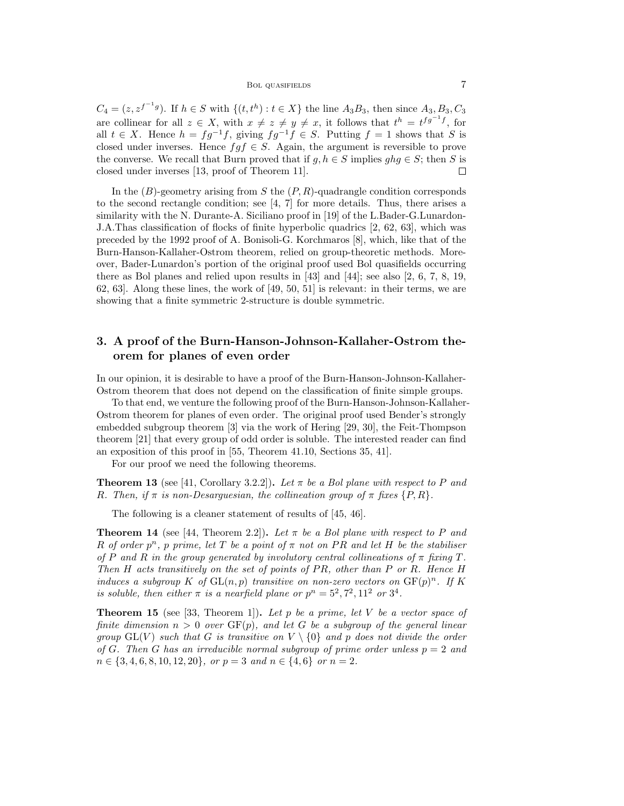$C_4 = (z, z^{f^{-1}g})$ . If  $h \in S$  with  $\{(t, t^h) : t \in X\}$  the line  $A_3B_3$ , then since  $A_3, B_3, C_3$ are collinear for all  $z \in X$ , with  $x \neq z \neq y \neq x$ , it follows that  $t^h = t^{fg^{-1}f}$ , for all  $t \in X$ . Hence  $h = fg^{-1}f$ , giving  $fg^{-1}f \in S$ . Putting  $f = 1$  shows that *S* is closed under inverses. Hence  $fgf \in S$ . Again, the argument is reversible to prove the converse. We recall that Burn proved that if  $g, h \in S$  implies  $ghg \in S$ ; then *S* is closed under inverses [13, proof of Theorem 11].  $\Box$ 

In the (*B*)-geometry arising from *S* the (*P, R*)-quadrangle condition corresponds to the second rectangle condition; see [4, 7] for more details. Thus, there arises a similarity with the N. Durante-A. Siciliano proof in [19] of the L.Bader-G.Lunardon-J.A.Thas classification of flocks of finite hyperbolic quadrics [2, 62, 63], which was preceded by the 1992 proof of A. Bonisoli-G. Korchmaros [8], which, like that of the Burn-Hanson-Kallaher-Ostrom theorem, relied on group-theoretic methods. Moreover, Bader-Lunardon's portion of the original proof used Bol quasifields occurring there as Bol planes and relied upon results in [43] and [44]; see also [2, 6, 7, 8, 19, 62, 63]. Along these lines, the work of [49, 50, 51] is relevant: in their terms, we are showing that a finite symmetric 2-structure is double symmetric.

# **3. A proof of the Burn-Hanson-Johnson-Kallaher-Ostrom theorem for planes of even order**

In our opinion, it is desirable to have a proof of the Burn-Hanson-Johnson-Kallaher-Ostrom theorem that does not depend on the classification of finite simple groups.

To that end, we venture the following proof of the Burn-Hanson-Johnson-Kallaher-Ostrom theorem for planes of even order. The original proof used Bender's strongly embedded subgroup theorem [3] via the work of Hering [29, 30], the Feit-Thompson theorem [21] that every group of odd order is soluble. The interested reader can find an exposition of this proof in [55, Theorem 41.10, Sections 35, 41].

For our proof we need the following theorems.

**Theorem 13** (see [41, Corollary 3.2.2]). Let  $\pi$  be a Bol plane with respect to P and *R.* Then, if  $\pi$  is non-Desarguesian, the collineation group of  $\pi$  fixes  $\{P, R\}$ *.* 

The following is a cleaner statement of results of [45, 46].

**Theorem 14** (see [44, Theorem 2.2]). Let  $\pi$  be a Bol plane with respect to P and *R of order*  $p^n$ *, p prime, let T be a point of*  $\pi$  *not on PR and let H be the stabiliser of*  $P$  *and*  $R$  *in the group generated by involutory central collineations of*  $\pi$  *fixing*  $T$ *. Then H acts transitively on the set of points of P R, other than P or R. Hence H induces a subgroup K of*  $GL(n, p)$  *transitive on non-zero vectors on*  $GF(p)^n$ *. If K is soluble, then either*  $\pi$  *is a nearfield plane or*  $p^n = 5^2, 7^2, 11^2$  *or*  $3^4$ *.* 

**Theorem 15** (see [33, Theorem 1])**.** *Let p be a prime, let V be a vector space of finite dimension n >* 0 *over* GF(*p*)*, and let G be a subgroup of the general linear group*  $GL(V)$  *such that G is transitive on*  $V \setminus \{0\}$  *and p does not divide the order of G.* Then *G* has an irreducible normal subgroup of prime order unless  $p = 2$  and *n ∈ {*3*,* 4*,* 6*,* 8*,* 10*,* 12*,* 20*}, or p* = 3 *and n ∈ {*4*,* 6*} or n* = 2*.*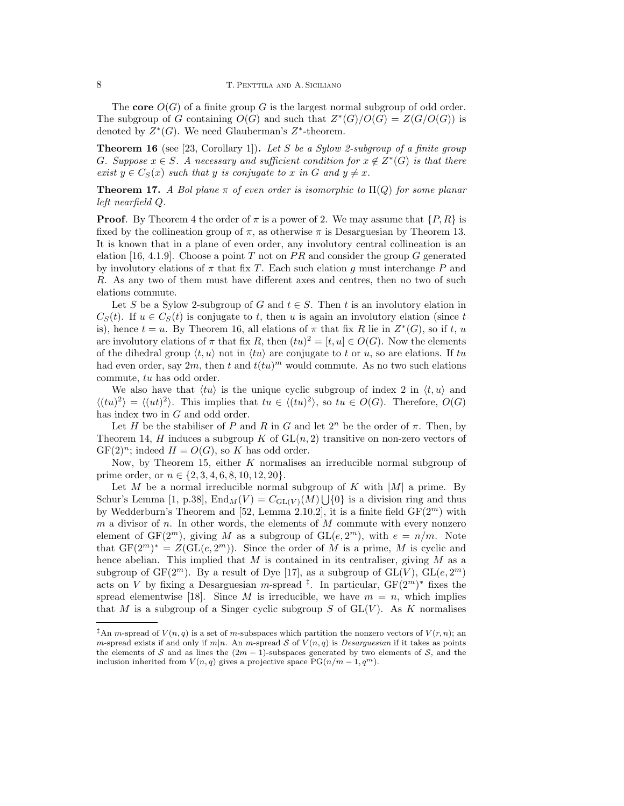The **core**  $O(G)$  of a finite group G is the largest normal subgroup of odd order. The subgroup of *G* containing  $O(G)$  and such that  $Z^*(G)/O(G) = Z(G/O(G))$  is denoted by  $Z^*(G)$ . We need Glauberman's  $Z^*$ -theorem.

**Theorem 16** (see [23, Corollary 1])**.** *Let S be a Sylow 2-subgroup of a finite group G. Suppose*  $x \in S$ *. A necessary and sufficient condition for*  $x \notin Z^*(G)$  *is that there exist*  $y \in C_S(x)$  *such that y is conjugate to x in G and*  $y \neq x$ *.* 

**Theorem 17.** *A Bol plane*  $\pi$  *of even order is isomorphic to*  $\Pi(Q)$  *for some planar left nearfield Q.*

**Proof***.* By Theorem 4 the order of  $\pi$  is a power of 2. We may assume that  $\{P, R\}$  is fixed by the collineation group of  $\pi$ , as otherwise  $\pi$  is Desarguesian by Theorem 13. It is known that in a plane of even order, any involutory central collineation is an elation [16, 4.1.9]. Choose a point *T* not on *P R* and consider the group *G* generated by involutory elations of  $\pi$  that fix *T*. Each such elation *g* must interchange *P* and *R*. As any two of them must have different axes and centres, then no two of such elations commute.

Let *S* be a Sylow 2-subgroup of *G* and  $t \in S$ . Then *t* is an involutory elation in  $C_S(t)$ . If  $u \in C_S(t)$  is conjugate to *t*, then *u* is again an involutory elation (since *t* is), hence  $t = u$ . By Theorem 16, all elations of  $\pi$  that fix  $R$  lie in  $Z^*(G)$ , so if  $t, u$ are involutory elations of  $\pi$  that fix  $R$ , then  $(tu)^2 = [t, u] \in O(G)$ . Now the elements of the dihedral group  $\langle t, u \rangle$  not in  $\langle tu \rangle$  are conjugate to *t* or *u*, so are elations. If *tu* had even order, say  $2m$ , then  $t$  and  $t(tu)^m$  would commute. As no two such elations commute, *tu* has odd order.

We also have that  $\langle tu \rangle$  is the unique cyclic subgroup of index 2 in  $\langle t, u \rangle$  and  $\langle (tu)^2 \rangle = \langle (ut)^2 \rangle$ . This implies that  $tu \in \langle (tu)^2 \rangle$ , so  $tu \in O(G)$ . Therefore,  $O(G)$ has index two in *G* and odd order.

Let *H* be the stabiliser of *P* and *R* in *G* and let  $2^n$  be the order of  $\pi$ . Then, by Theorem 14, *H* induces a subgroup *K* of  $GL(n, 2)$  transitive on non-zero vectors of  $GF(2)^n$ ; indeed  $H = O(G)$ , so K has odd order.

Now, by Theorem 15, either *K* normalises an irreducible normal subgroup of prime order, or *n ∈ {*2*,* 3*,* 4*,* 6*,* 8*,* 10*,* 12*,* 20*}*.

Let *M* be a normal irreducible normal subgroup of *K* with  $|M|$  a prime. By Schur's Lemma [1, p.38],  $\text{End}_M(V) = C_{\text{GL}(V)}(M) \cup \{0\}$  is a division ring and thus by Wedderburn's Theorem and [52, Lemma 2.10.2], it is a finite field GF(2*m*) with *m* a divisor of *n*. In other words, the elements of *M* commute with every nonzero element of  $GF(2^m)$ , giving M as a subgroup of  $GL(e, 2^m)$ , with  $e = n/m$ . Note that  $GF(2<sup>m</sup>)<sup>*</sup> = Z(GL(e, 2<sup>m</sup>))$ . Since the order of *M* is a prime, *M* is cyclic and hence abelian. This implied that *M* is contained in its centraliser, giving *M* as a subgroup of  $GF(2<sup>m</sup>)$ . By a result of Dye [17], as a subgroup of  $GL(V)$ ,  $GL(e, 2<sup>m</sup>)$ acts on *V* by fixing a Desarguesian *m*-spread <sup>‡</sup>. In particular,  $GF(2<sup>m</sup>)<sup>*</sup>$  fixes the spread elementwise [18]. Since *M* is irreducible, we have  $m = n$ , which implies that *M* is a subgroup of a Singer cyclic subgroup *S* of  $GL(V)$ . As *K* normalises

<sup>&</sup>lt;sup>‡</sup>An *m*-spread of  $V(n,q)$  is a set of *m*-subspaces which partition the nonzero vectors of  $V(r, n)$ ; an *m*-spread exists if and only if  $m|n$ . An *m*-spread *S* of  $V(n,q)$  is *Desarguesian* if it takes as points the elements of *S* and as lines the  $(2m - 1)$ -subspaces generated by two elements of *S*, and the inclusion inherited from  $V(n,q)$  gives a projective space  $PG(n/m-1,q^m)$ .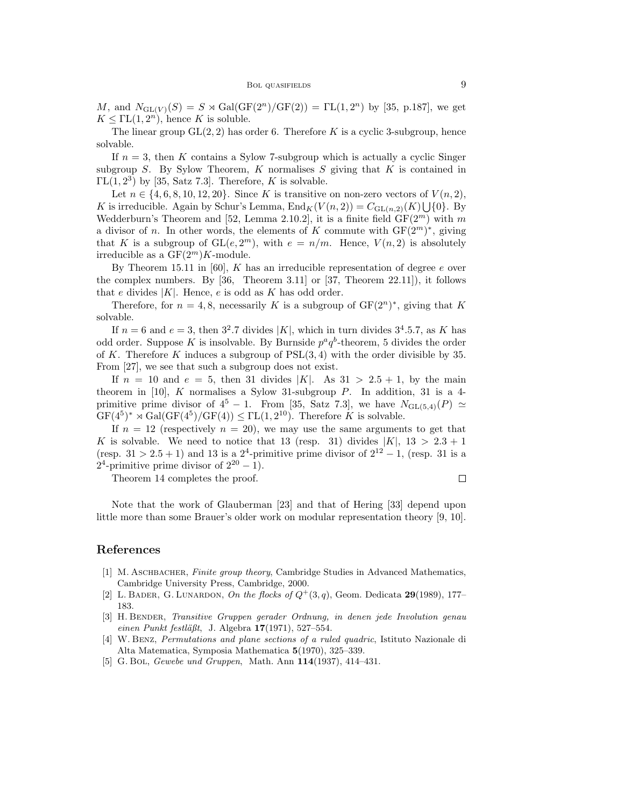*M*, and  $N_{GL(V)}(S) = S \rtimes Gal(GF(2^n)/GF(2)) = FL(1, 2^n)$  by [35, p.187], we get  $K \leq \Gamma L(1, 2^n)$ , hence *K* is soluble.

The linear group  $GL(2, 2)$  has order 6. Therefore K is a cyclic 3-subgroup, hence solvable.

If  $n = 3$ , then *K* contains a Sylow 7-subgroup which is actually a cyclic Singer subgroup *S*. By Sylow Theorem, *K* normalises *S* giving that *K* is contained in  $\Gamma L(1, 2^3)$  by [35, Satz 7.3]. Therefore, *K* is solvable.

Let  $n \in \{4, 6, 8, 10, 12, 20\}$ . Since *K* is transitive on non-zero vectors of  $V(n, 2)$ , *K* is irreducible. Again by Schur's Lemma,  $\text{End}_K(V(n, 2)) = C_{\text{GL}(n, 2)}(K) \bigcup \{0\}$ . By Wedderburn's Theorem and [52, Lemma 2.10.2], it is a finite field  $GF(2<sup>m</sup>)$  with *m* a divisor of *n*. In other words, the elements of *K* commute with  $GF(2<sup>m</sup>)<sup>*</sup>$ , giving that *K* is a subgroup of  $GL(e, 2^m)$ , with  $e = n/m$ . Hence,  $V(n, 2)$  is absolutely irreducible as a  $GF(2<sup>m</sup>)K$ -module.

By Theorem 15.11 in [60], *K* has an irreducible representation of degree *e* over the complex numbers. By [36, Theorem 3.11] or [37, Theorem 22.11]), it follows that *e* divides  $|K|$ . Hence, *e* is odd as *K* has odd order.

Therefore, for  $n = 4, 8$ , necessarily *K* is a subgroup of  $GF(2^n)^*$ , giving that *K* solvable.

If  $n = 6$  and  $e = 3$ , then  $3^2.7$  divides  $|K|$ , which in turn divides  $3^4.5.7$ , as K has odd order. Suppose *K* is insolvable. By Burnside  $p^a q^b$ -theorem, 5 divides the order of *K*. Therefore *K* induces a subgroup of PSL(3*,* 4) with the order divisible by 35. From [27], we see that such a subgroup does not exist.

If  $n = 10$  and  $e = 5$ , then 31 divides  $|K|$ . As  $31 > 2.5 + 1$ , by the main theorem in [10], *K* normalises a Sylow 31-subgroup *P*. In addition, 31 is a 4 primitive prime divisor of  $4^5$  − 1. From [35, Satz 7.3], we have  $N_{\text{GL}(5,4)}(P) \simeq$  $GF(4^5)^* \rtimes Gal(GF(4^5)/GF(4)) \leq FL(1, 2^{10})$ . Therefore *K* is solvable.

If  $n = 12$  (respectively  $n = 20$ ), we may use the same arguments to get that *K* is solvable. We need to notice that 13 (resp. 31) divides  $|K|$ , 13 > 2.3 + 1 (resp.  $31 > 2.5 + 1$ ) and 13 is a 2<sup>4</sup>-primitive prime divisor of  $2^{12} - 1$ , (resp. 31 is a 2<sup>4</sup>-primitive prime divisor of  $2^{20} - 1$ ).

Theorem 14 completes the proof.

 $\Box$ 

Note that the work of Glauberman [23] and that of Hering [33] depend upon little more than some Brauer's older work on modular representation theory [9, 10].

### **References**

- [1] M. ASCHBACHER, *Finite group theory*, Cambridge Studies in Advanced Mathematics, Cambridge University Press, Cambridge, 2000.
- [2] L. BADER, G. LUNARDON, *On the flocks of*  $Q^{+}(3, q)$ , Geom. Dedicata **29**(1989), 177– 183.
- [3] H. Bender, *Transitive Gruppen gerader Ordnung, in denen jede Involution genau einen Punkt festl¨aßt*, J. Algebra **17**(1971), 527–554.
- [4] W. Benz, *Permutations and plane sections of a ruled quadric*, Istituto Nazionale di Alta Matematica, Symposia Mathematica **5**(1970), 325–339.
- [5] G. Bol, *Gewebe und Gruppen*, Math. Ann **114**(1937), 414–431.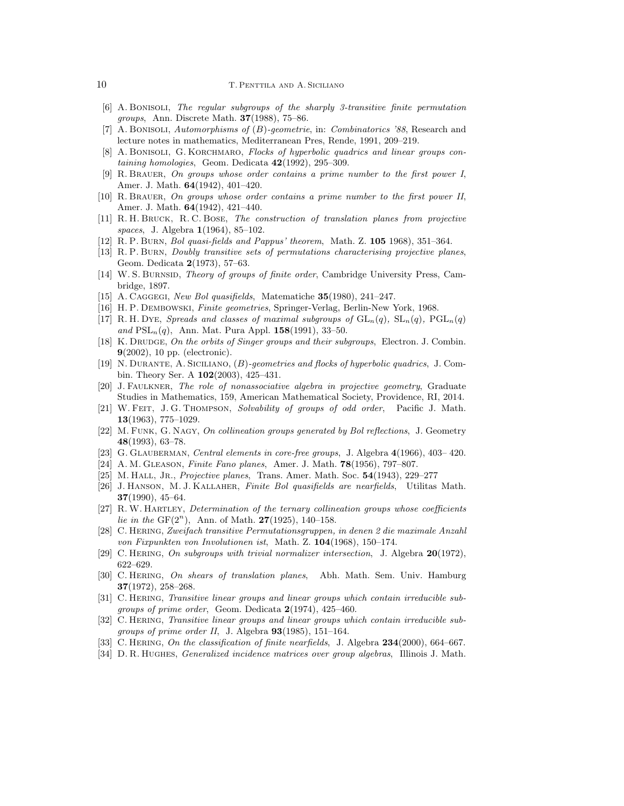- [6] A. Bonisoli, *The regular subgroups of the sharply 3-transitive finite permutation groups*, Ann. Discrete Math. **37**(1988), 75–86.
- [7] A. Bonisoli, *Automorphisms of* (*B*)*-geometrie*, in: *Combinatorics '88*, Research and lecture notes in mathematics, Mediterranean Pres, Rende, 1991, 209–219.
- [8] A. BONISOLI, G. KORCHMARO, *Flocks of hyperbolic quadrics and linear groups containing homologies*, Geom. Dedicata **42**(1992), 295–309.
- [9] R. Brauer, *On groups whose order contains a prime number to the first power I*, Amer. J. Math. **64**(1942), 401–420.
- [10] R. Brauer, *On groups whose order contains a prime number to the first power II*, Amer. J. Math. **64**(1942), 421–440.
- [11] R. H. Bruck, R. C. Bose, *The construction of translation planes from projective spaces*, J. Algebra **1**(1964), 85–102.
- [12] R. P. Burn, *Bol quasi-fields and Pappus' theorem*, Math. Z. **105** 1968), 351–364.
- [13] R. P. Burn, *Doubly transitive sets of permutations characterising projective planes*, Geom. Dedicata **2**(1973), 57–63.
- [14] W. S. Burnsid, *Theory of groups of finite order*, Cambridge University Press, Cambridge, 1897.
- [15] A. Caggegi, *New Bol quasifields*, Matematiche **35**(1980), 241–247.
- [16] H. P. Dembowski, *Finite geometries*, Springer-Verlag, Berlin-New York, 1968.
- [17] R. H. Dye, *Spreads and classes of maximal subgroups of*  $GL_n(q)$ ,  $SL_n(q)$ ,  $PGL_n(q)$ *and* PSL*n*(*q*), Ann. Mat. Pura Appl. **158**(1991), 33–50.
- [18] K. DRUDGE, *On the orbits of Singer groups and their subgroups*, Electron. J. Combin. **9**(2002), 10 pp. (electronic).
- [19] N. Durante, A. Siciliano, (*B*)*-geometries and flocks of hyperbolic quadrics*, J. Combin. Theory Ser. A **102**(2003), 425–431.
- [20] J. Faulkner, *The role of nonassociative algebra in projective geometry*, Graduate Studies in Mathematics, 159, American Mathematical Society, Providence, RI, 2014.
- [21] W. Feit, J. G. Thompson, *Solvability of groups of odd order*, Pacific J. Math. **13**(1963), 775–1029.
- [22] M. Funk, G. Nagy, *On collineation groups generated by Bol reflections*, J. Geometry **48**(1993), 63–78.
- [23] G. Glauberman, *Central elements in core-free groups*, J. Algebra **4**(1966), 403– 420.
- [24] A. M. Gleason, *Finite Fano planes*, Amer. J. Math. **78**(1956), 797–807.
- [25] M. Hall, Jr., *Projective planes*, Trans. Amer. Math. Soc. **54**(1943), 229–277
- [26] J. Hanson, M. J. Kallaher, *Finite Bol quasifields are nearfields*, Utilitas Math. **37**(1990), 45–64.
- [27] R.W. Hartley, *Determination of the ternary collineation groups whose coefficients lie in the* GF(2*<sup>n</sup>* ), Ann. of Math. **27**(1925), 140–158.
- [28] C. Hering, *Zweifach transitive Permutationsgruppen, in denen 2 die maximale Anzahl von Fixpunkten von Involutionen ist*, Math. Z. **104**(1968), 150–174.
- [29] C. Hering, *On subgroups with trivial normalizer intersection*, J. Algebra **20**(1972), 622–629.
- [30] C. Hering, *On shears of translation planes*, Abh. Math. Sem. Univ. Hamburg **37**(1972), 258–268.
- [31] C. Hering, *Transitive linear groups and linear groups which contain irreducible subgroups of prime order*, Geom. Dedicata **2**(1974), 425–460.
- [32] C. HERING, *Transitive linear groups and linear groups which contain irreducible subgroups of prime order II*, J. Algebra **93**(1985), 151–164.
- [33] C. Hering, *On the classification of finite nearfields*, J. Algebra **234**(2000), 664–667.
- [34] D. R. Hughes, *Generalized incidence matrices over group algebras*, Illinois J. Math.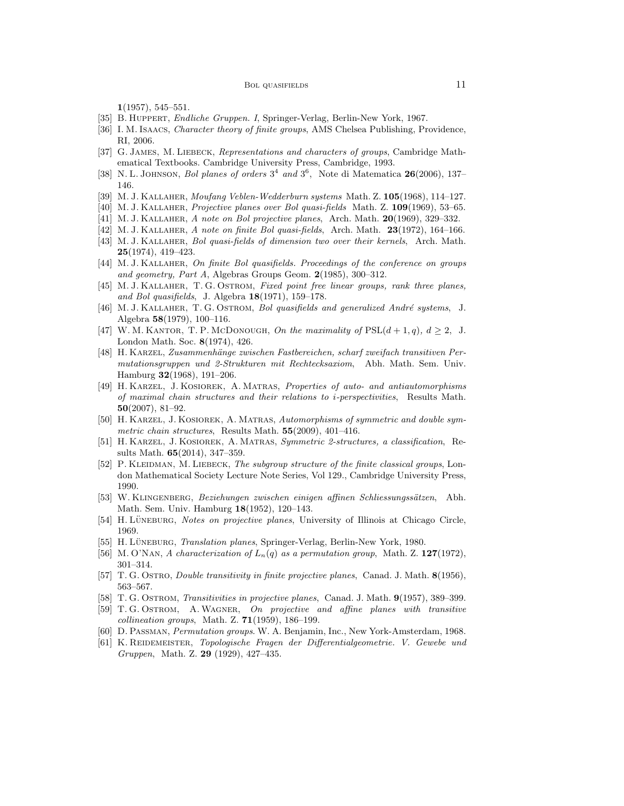**1**(1957), 545–551.

- [35] B. Huppert, *Endliche Gruppen. I*, Springer-Verlag, Berlin-New York, 1967.
- [36] I. M. Isaacs, *Character theory of finite groups*, AMS Chelsea Publishing, Providence, RI, 2006.
- [37] G. James, M. Liebeck, *Representations and characters of groups*, Cambridge Mathematical Textbooks. Cambridge University Press, Cambridge, 1993.
- [38] N. L. Johnson, *Bol planes of orders* 3 4 *and* 3 6 , Note di Matematica **26**(2006), 137– 146.
- [39] M. J. Kallaher, *Moufang Veblen-Wedderburn systems* Math. Z. **105**(1968), 114–127.
- [40] M. J. Kallaher, *Projective planes over Bol quasi-fields* Math. Z. **109**(1969), 53–65.
- [41] M. J. Kallaher, *A note on Bol projective planes*, Arch. Math. **20**(1969), 329–332.
- [42] M. J. Kallaher, *A note on finite Bol quasi-fields*, Arch. Math. **23**(1972), 164–166.
- [43] M. J. Kallaher, *Bol quasi-fields of dimension two over their kernels*, Arch. Math. **25**(1974), 419–423.
- [44] M. J. Kallaher, *On finite Bol quasifields. Proceedings of the conference on groups and geometry, Part A*, Algebras Groups Geom. **2**(1985), 300–312.
- [45] M. J. Kallaher, T. G. Ostrom, *Fixed point free linear groups, rank three planes, and Bol quasifields*, J. Algebra **18**(1971), 159–178.
- [46] M. J. KALLAHER, T. G. OSTROM, *Bol quasifields and generalized André systems*, J. Algebra **58**(1979), 100–116.
- [47] W. M. KANTOR, T. P. McDonough, *On the maximality of*  $PSL(d+1, q)$ ,  $d \geq 2$ , J. London Math. Soc. **8**(1974), 426.
- [48] H. KARZEL, Zusammenhänge zwischen Fastbereichen, scharf zweifach transitiven Per*mutationsgruppen und 2-Strukturen mit Rechtecksaxiom*, Abh. Math. Sem. Univ. Hamburg **32**(1968), 191–206.
- [49] H. Karzel, J. Kosiorek, A. Matras, *Properties of auto- and antiautomorphisms of maximal chain structures and their relations to i-perspectivities*, Results Math. **50**(2007), 81–92.
- [50] H. Karzel, J. Kosiorek, A. Matras, *Automorphisms of symmetric and double symmetric chain structures*, Results Math. **55**(2009), 401–416.
- [51] H. Karzel, J. Kosiorek, A. Matras, *Symmetric 2-structures, a classification*, Results Math. **65**(2014), 347–359.
- [52] P. KLEIDMAN, M. LIEBECK, *The subgroup structure of the finite classical groups*, London Mathematical Society Lecture Note Series, Vol 129., Cambridge University Press, 1990.
- [53] W. Klingenberg, *Beziehungen zwischen einigen affinen Schliessungss¨atzen*, Abh. Math. Sem. Univ. Hamburg **18**(1952), 120–143.
- [54] H. LÜNEBURG, *Notes on projective planes*, University of Illinois at Chicago Circle, 1969.
- [55] H. LÜNEBURG, *Translation planes*, Springer-Verlag, Berlin-New York, 1980.
- [56] M. O'Nan, *A characterization of Ln*(*q*) *as a permutation group*, Math. Z. **127**(1972), 301–314.
- [57] T. G. Ostro, *Double transitivity in finite projective planes*, Canad. J. Math. **8**(1956), 563–567.
- [58] T. G. Ostrom, *Transitivities in projective planes*, Canad. J. Math. **9**(1957), 389–399.
- [59] T. G. Ostrom, A.Wagner, *On projective and affine planes with transitive collineation groups*, Math. Z. **71**(1959), 186–199.
- [60] D. Passman, *Permutation groups*. W. A. Benjamin, Inc., New York-Amsterdam, 1968.
- [61] K. REIDEMEISTER, *Topologische Fragen der Differentialgeometrie. V. Gewebe und Gruppen*, Math. Z. **29** (1929), 427–435.